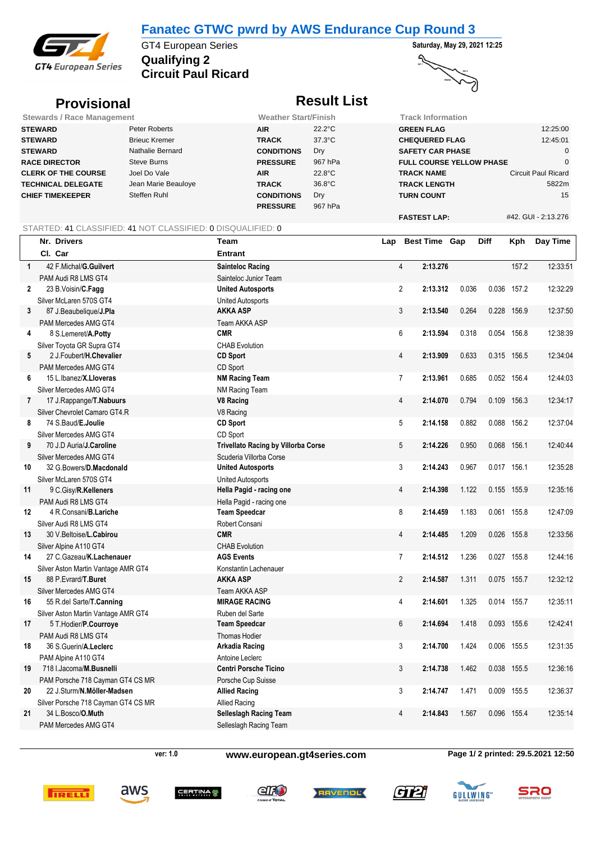## **Fanatec GTWC pwrd by AWS Endurance Cup Round 3**



**Qualifying 2** GT4 European Series **Saturday, May 29, 2021 12:25 Circuit Paul Ricard**



### **Provisional Result List**<br> **Result List**<br> **Result List**<br> **Result List Stewards / Race Management Weather Start/Finish Track Information STEWARD** Peter Roberts **AIR** 22.2°C **GREEN FLAG** 12:25:00 **STEWARD** Brieuc Kremer **TRACK** 37.3°C **CHEQUERED FLAG** 12:45:01 **STEWARD** Nathalie Bernard **CONDITIONS** Dry **SAFETY CAR PHASE** 0 **RACE DIRECTOR** Steve Burns **PRESSURE** 967 hPa **FULL COURSE YELLOW PHASE** 0 **CLERK OF THE COURSE** Joel Do Vale **AIR** AIR 22.8°C **TRACK NAME** Circuit Paul Ricard **TECHNICAL DELEGATE** Jean Marie Beauloye **TRACK** 36.8°C **TRACK LENGTH** 5822m **CHIEF TIMEKEEPER** Steffen Ruhl **CONDITIONS** Dry **TURN COUNT** 15 **PRESSURE** 967 hPa **FASTEST LAP:** #42. GUI - 2:13.276

### STARTED: 41 CLASSIFIED: 41 NOT CLASSIFIED: 0 DISQUALIFIED: 0

|              | Nr. Drivers                         | Team                                       | Lap | <b>Best Time Gap</b>       |       | Diff  | Kph         | Day Time |
|--------------|-------------------------------------|--------------------------------------------|-----|----------------------------|-------|-------|-------------|----------|
|              | Cl. Car                             | <b>Entrant</b>                             |     |                            |       |       |             |          |
| $\mathbf{1}$ | 42 F.Michal/G.Guilvert              | <b>Sainteloc Racing</b>                    |     | $\overline{4}$<br>2:13.276 |       |       | 157.2       | 12:33:51 |
|              | PAM Audi R8 LMS GT4                 | Sainteloc Junior Team                      |     |                            |       |       |             |          |
| $\mathbf{2}$ | 23 B. Voisin/C. Fagg                | <b>United Autosports</b>                   |     | $\overline{2}$<br>2:13.312 | 0.036 | 0.036 | 157.2       | 12:32:29 |
|              | Silver McLaren 570S GT4             | <b>United Autosports</b>                   |     |                            |       |       |             |          |
| 3            | 87 J.Beaubelique/J.Pla              | <b>AKKA ASP</b>                            |     | 3<br>2:13.540              | 0.264 | 0.228 | 156.9       | 12:37:50 |
|              | PAM Mercedes AMG GT4                | Team AKKA ASP                              |     |                            |       |       |             |          |
| 4            | 8 S.Lemeret/A.Potty                 | <b>CMR</b>                                 |     | 6<br>2:13.594              | 0.318 |       | 0.054 156.8 | 12:38:39 |
|              | Silver Toyota GR Supra GT4          | <b>CHAB Evolution</b>                      |     |                            |       |       |             |          |
| 5            | 2 J.Foubert/H.Chevalier             | <b>CD Sport</b>                            |     | 4<br>2:13.909              | 0.633 | 0.315 | 156.5       | 12:34:04 |
|              | PAM Mercedes AMG GT4                | CD Sport                                   |     |                            |       |       |             |          |
| 6            | 15 L.Ibanez/X.Lloveras              | <b>NM Racing Team</b>                      |     | $\overline{7}$<br>2:13.961 | 0.685 |       | 0.052 156.4 | 12:44:03 |
|              | Silver Mercedes AMG GT4             | NM Racing Team                             |     |                            |       |       |             |          |
| $\mathbf{7}$ | 17 J.Rappange/T.Nabuurs             | <b>V8 Racing</b>                           |     | $\overline{4}$<br>2:14.070 | 0.794 | 0.109 | 156.3       | 12:34:17 |
|              | Silver Chevrolet Camaro GT4.R       | V8 Racing                                  |     |                            |       |       |             |          |
| 8            | 74 S.Baud/E.Joulie                  | <b>CD Sport</b>                            |     | 5<br>2:14.158              | 0.882 | 0.088 | 156.2       | 12:37:04 |
|              | Silver Mercedes AMG GT4             | CD Sport                                   |     |                            |       |       |             |          |
| 9            | 70 J.D Auria/J.Caroline             | <b>Trivellato Racing by Villorba Corse</b> |     | 5<br>2:14.226              | 0.950 | 0.068 | 156.1       | 12:40:44 |
|              | Silver Mercedes AMG GT4             | Scuderia Villorba Corse                    |     |                            |       |       |             |          |
| 10           | 32 G.Bowers/D.Macdonald             | <b>United Autosports</b>                   |     | 3<br>2:14.243              | 0.967 | 0.017 | 156.1       | 12:35:28 |
|              | Silver McLaren 570S GT4             | <b>United Autosports</b>                   |     |                            |       |       |             |          |
| 11           | 9 C.Gisy/R.Kelleners                | Hella Pagid - racing one                   |     | $\overline{4}$<br>2:14.398 | 1.122 | 0.155 | 155.9       | 12:35:16 |
|              | PAM Audi R8 LMS GT4                 | Hella Pagid - racing one                   |     |                            |       |       |             |          |
| 12           | 4 R.Consani/B.Lariche               | <b>Team Speedcar</b>                       |     | 8<br>2:14.459              | 1.183 | 0.061 | 155.8       | 12:47:09 |
|              | Silver Audi R8 LMS GT4              | Robert Consani                             |     |                            |       |       |             |          |
| 13           | 30 V.Beltoise/L.Cabirou             | <b>CMR</b>                                 |     | $\overline{4}$<br>2:14.485 | 1.209 | 0.026 | 155.8       | 12:33:56 |
|              | Silver Alpine A110 GT4              | <b>CHAB Evolution</b>                      |     |                            |       |       |             |          |
| 14           | 27 C.Gazeau/K.Lachenauer            | <b>AGS Events</b>                          |     | $\overline{7}$<br>2:14.512 | 1.236 |       | 0.027 155.8 | 12:44:16 |
|              | Silver Aston Martin Vantage AMR GT4 | Konstantin Lachenauer                      |     |                            |       |       |             |          |
| 15           | 88 P.Evrard/T.Buret                 | <b>AKKA ASP</b>                            |     | $\overline{2}$<br>2:14.587 | 1.311 | 0.075 | 155.7       | 12:32:12 |
|              | Silver Mercedes AMG GT4             | Team AKKA ASP                              |     |                            |       |       |             |          |
| 16           | 55 R.del Sarte/T.Canning            | <b>MIRAGE RACING</b>                       |     | 4<br>2:14.601              | 1.325 |       | 0.014 155.7 | 12:35:11 |
|              | Silver Aston Martin Vantage AMR GT4 | Ruben del Sarte                            |     |                            |       |       |             |          |
| 17           | 5 T.Hodier/P.Courroye               | <b>Team Speedcar</b>                       |     | 6<br>2:14.694              | 1.418 | 0.093 | 155.6       | 12:42:41 |
|              | PAM Audi R8 LMS GT4                 | Thomas Hodier                              |     |                            |       |       |             |          |
| 18           | 36 S.Guerin/A.Leclerc               | Arkadia Racing                             |     | 3<br>2:14.700              | 1.424 | 0.006 | 155.5       | 12:31:35 |
|              | PAM Alpine A110 GT4                 | Antoine Leclerc                            |     |                            |       |       |             |          |
| 19           | 718 LJacoma/M.Busnelli              | <b>Centri Porsche Ticino</b>               |     | 3<br>2:14.738              | 1.462 | 0.038 | 155.5       | 12:36:16 |
|              | PAM Porsche 718 Cayman GT4 CS MR    | Porsche Cup Suisse                         |     |                            |       |       |             |          |
| 20           | 22 J.Sturm/N.Möller-Madsen          | <b>Allied Racing</b>                       |     | 3<br>2:14.747              | 1.471 | 0.009 | 155.5       | 12:36:37 |
|              | Silver Porsche 718 Cayman GT4 CS MR | <b>Allied Racing</b>                       |     |                            |       |       |             |          |
| 21           | 34 L.Bosco/O.Muth                   | <b>Selleslagh Racing Team</b>              |     | 2:14.843<br>4              | 1.567 | 0.096 | 155.4       | 12:35:14 |
|              | PAM Mercedes AMG GT4                | Selleslagh Racing Team                     |     |                            |       |       |             |          |

aws

**ver: 1.0 www.european.gt4series.com Page 1/ 2 printed: 29.5.2021 12:50**